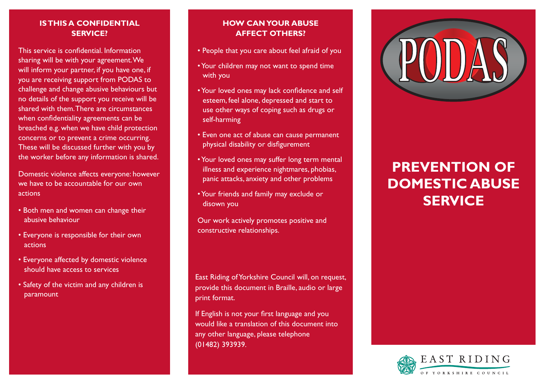## **Is this a confidential service?**

This service is confidential. Information sharing will be with your agreement. We will inform your partner, if you have one, if you are receiving support from PODAS to challenge and change abusive behaviours but no details of the support you receive will be shared with them. There are circumstances when confidentiality agreements can be breached e.g. when we have child protection concerns or to prevent a crime occurring. These will be discussed further with you by the worker before any information is shared.

Domestic violence affects everyone: however we have to be accountable for our own actions

- Both men and women can change their abusive behaviour
- Everyone is responsible for their own actions
- Everyone affected by domestic violence should have access to services
- Safety of the victim and any children is paramount

# **How can your abuse affect others?**

- People that you care about feel afraid of you
- Your children may not want to spend time with you
- Your loved ones may lack confidence and self esteem, feel alone, depressed and start to use other ways of coping such as drugs or self-harming
- Even one act of abuse can cause permanent physical disability or disfigurement
- Your loved ones may suffer long term mental illness and experience nightmares, phobias, panic attacks, anxiety and other problems
- Your friends and family may exclude or disown you

Our work actively promotes positive and constructive relationships.

East Riding of Yorkshire Council will, on request, provide this document in Braille, audio or large print format.

If English is not your first language and you would like a translation of this document into any other language, please telephone (01482) 393939.



# **Prevention Of Domestic Abuse Service**